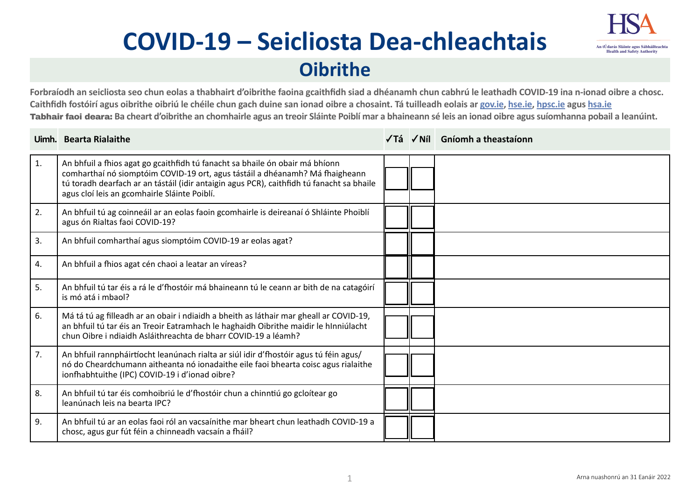# **COVID-19 – Seicliosta Dea-chleachtais**



## **Oibrithe**

**Forbraíodh an seicliosta seo chun eolas a thabhairt d'oibrithe faoina gcaithfidh siad a dhéanamh chun cabhrú le leathadh COVID-19 ina n-ionad oibre a chosc. Caithfidh fostóirí agus oibrithe oibriú le chéile chun gach duine san ionad oibre a chosaint. Tá tuilleadh eolais ar [gov.ie](https://www.gov.ie/en/campaigns/c36c85-covid-19-coronavirus/), [hse.ie](https://www.hse.ie/eng/), [hpsc.ie](https://www.hpsc.ie) agus [hsa.ie](https://www.hsa.ie/eng/)**  Tabhair faoi deara: **Ba cheart d'oibrithe an chomhairle agus an treoir Sláinte Poiblí mar a bhaineann sé leis an ionad oibre agus suíomhanna pobail a leanúint.** 

|            | Uimh. Bearta Rialaithe                                                                                                                                                                                                                                                                                    |  | √Tá √Níl Gníomh a theastaíonn |
|------------|-----------------------------------------------------------------------------------------------------------------------------------------------------------------------------------------------------------------------------------------------------------------------------------------------------------|--|-------------------------------|
| $\vert$ 1. | An bhfuil a fhios agat go gcaithfidh tú fanacht sa bhaile ón obair má bhíonn<br>comharthaí nó siomptóim COVID-19 ort, agus tástáil a dhéanamh? Má fhaigheann<br>tú toradh dearfach ar an tástáil (idir antaigin agus PCR), caithfidh tú fanacht sa bhaile<br>agus cloí leis an gcomhairle Sláinte Poiblí. |  |                               |
| 2.         | An bhfuil tú ag coinneáil ar an eolas faoin gcomhairle is deireanaí ó Shláinte Phoiblí<br>agus ón Rialtas faoi COVID-19?                                                                                                                                                                                  |  |                               |
| 3.         | An bhfuil comharthaí agus siomptóim COVID-19 ar eolas agat?                                                                                                                                                                                                                                               |  |                               |
| 4.         | An bhfuil a fhios agat cén chaoi a leatar an víreas?                                                                                                                                                                                                                                                      |  |                               |
| 5.         | An bhfuil tú tar éis a rá le d'fhostóir má bhaineann tú le ceann ar bith de na catagóirí<br>is mó atá i mbaol?                                                                                                                                                                                            |  |                               |
| 6.         | Má tá tú ag filleadh ar an obair i ndiaidh a bheith as láthair mar gheall ar COVID-19,<br>an bhfuil tú tar éis an Treoir Eatramhach le haghaidh Oibrithe maidir le hInniúlacht<br>chun Oibre i ndiaidh Asláithreachta de bharr COVID-19 a léamh?                                                          |  |                               |
| 7.         | An bhfuil rannpháirtíocht leanúnach rialta ar siúl idir d'fhostóir agus tú féin agus/<br>nó do Cheardchumann aitheanta nó ionadaithe eile faoi bhearta coisc agus rialaithe<br>ionfhabhtuithe (IPC) COVID-19 i d'ionad oibre?                                                                             |  |                               |
| 8.         | An bhfuil tú tar éis comhoibriú le d'fhostóir chun a chinntiú go gcloítear go<br>leanúnach leis na bearta IPC?                                                                                                                                                                                            |  |                               |
| 9.         | An bhfuil tú ar an eolas faoi ról an vacsaínithe mar bheart chun leathadh COVID-19 a<br>chosc, agus gur fút féin a chinneadh vacsaín a fháil?                                                                                                                                                             |  |                               |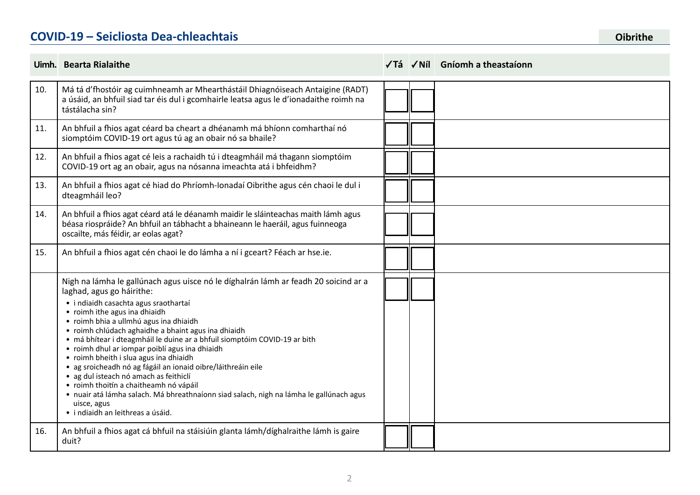### **COVID-19 – Seicliosta Dea-chleachtais COVID-19 – Seicliosta Dea-chleachtais**

|     | Uimh. Bearta Rialaithe                                                                                                                                                                                                                                                                                                                                                                                                                                                                                                                                                                                                                                                                                                                                                  |  | √Tá √Níl Gníomh a theastaíonn |
|-----|-------------------------------------------------------------------------------------------------------------------------------------------------------------------------------------------------------------------------------------------------------------------------------------------------------------------------------------------------------------------------------------------------------------------------------------------------------------------------------------------------------------------------------------------------------------------------------------------------------------------------------------------------------------------------------------------------------------------------------------------------------------------------|--|-------------------------------|
| 10. | Má tá d'fhostóir ag cuimhneamh ar Mhearthástáil Dhiagnóiseach Antaigine (RADT)<br>a úsáid, an bhfuil siad tar éis dul i gcomhairle leatsa agus le d'ionadaithe roimh na<br>tástálacha sin?                                                                                                                                                                                                                                                                                                                                                                                                                                                                                                                                                                              |  |                               |
| 11. | An bhfuil a fhios agat céard ba cheart a dhéanamh má bhíonn comharthaí nó<br>siomptóim COVID-19 ort agus tú ag an obair nó sa bhaile?                                                                                                                                                                                                                                                                                                                                                                                                                                                                                                                                                                                                                                   |  |                               |
| 12. | An bhfuil a fhios agat cé leis a rachaidh tú i dteagmháil má thagann siomptóim<br>COVID-19 ort ag an obair, agus na nósanna imeachta atá i bhfeidhm?                                                                                                                                                                                                                                                                                                                                                                                                                                                                                                                                                                                                                    |  |                               |
| 13. | An bhfuil a fhios agat cé hiad do Phríomh-Ionadaí Oibrithe agus cén chaoi le dul i<br>dteagmháil leo?                                                                                                                                                                                                                                                                                                                                                                                                                                                                                                                                                                                                                                                                   |  |                               |
| 14. | An bhfuil a fhios agat céard atá le déanamh maidir le sláinteachas maith lámh agus<br>béasa riospráide? An bhfuil an tábhacht a bhaineann le haeráil, agus fuinneoga<br>oscailte, más féidir, ar eolas agat?                                                                                                                                                                                                                                                                                                                                                                                                                                                                                                                                                            |  |                               |
| 15. | An bhfuil a fhios agat cén chaoi le do lámha a ní i gceart? Féach ar hse.ie.                                                                                                                                                                                                                                                                                                                                                                                                                                                                                                                                                                                                                                                                                            |  |                               |
|     | Nigh na lámha le gallúnach agus uisce nó le díghalrán lámh ar feadh 20 soicind ar a<br>laghad, agus go háirithe:<br>· i ndiaidh casachta agus sraothartaí<br>• roimh ithe agus ina dhiaidh<br>· roimh bhia a ullmhú agus ina dhiaidh<br>· roimh chlúdach aghaidhe a bhaint agus ina dhiaidh<br>· má bhítear i dteagmháil le duine ar a bhfuil siomptóim COVID-19 ar bith<br>• roimh dhul ar iompar poiblí agus ina dhiaidh<br>• roimh bheith i slua agus ina dhiaidh<br>· ag sroicheadh nó ag fágáil an ionaid oibre/láithreáin eile<br>· ag dul isteach nó amach as feithiclí<br>· roimh thoitín a chaitheamh nó vápáil<br>· nuair atá lámha salach. Má bhreathnaíonn siad salach, nigh na lámha le gallúnach agus<br>uisce, agus<br>· i ndiaidh an leithreas a úsáid. |  |                               |
| 16. | An bhfuil a fhios agat cá bhfuil na stáisiúin glanta lámh/díghalraithe lámh is gaire<br>duit?                                                                                                                                                                                                                                                                                                                                                                                                                                                                                                                                                                                                                                                                           |  |                               |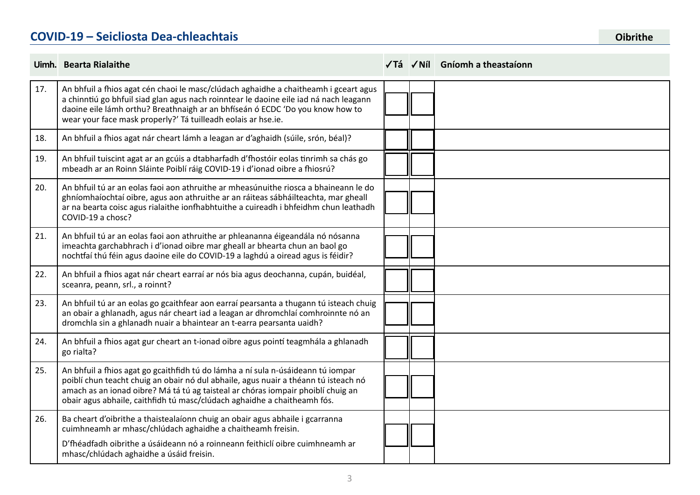#### **COVID-19 – Seicliosta Dea-chleachtais**

|     | Uimh. Bearta Rialaithe                                                                                                                                                                                                                                                                                                                  |  | √Tá √Níl Gníomh a theastaíonn |
|-----|-----------------------------------------------------------------------------------------------------------------------------------------------------------------------------------------------------------------------------------------------------------------------------------------------------------------------------------------|--|-------------------------------|
| 17. | An bhfuil a fhios agat cén chaoi le masc/clúdach aghaidhe a chaitheamh i gceart agus<br>a chinntiú go bhfuil siad glan agus nach roinntear le daoine eile iad ná nach leagann<br>daoine eile lámh orthu? Breathnaigh ar an bhfíseán ó ECDC 'Do you know how to<br>wear your face mask properly?' Tá tuilleadh eolais ar hse.ie.         |  |                               |
| 18. | An bhfuil a fhios agat nár cheart lámh a leagan ar d'aghaidh (súile, srón, béal)?                                                                                                                                                                                                                                                       |  |                               |
| 19. | An bhfuil tuiscint agat ar an gcúis a dtabharfadh d'fhostóir eolas tinrimh sa chás go<br>mbeadh ar an Roinn Sláinte Poiblí ráig COVID-19 i d'ionad oibre a fhiosrú?                                                                                                                                                                     |  |                               |
| 20. | An bhfuil tú ar an eolas faoi aon athruithe ar mheasúnuithe riosca a bhaineann le do<br>ghníomhaíochtaí oibre, agus aon athruithe ar an ráiteas sábháilteachta, mar gheall<br>ar na bearta coisc agus rialaithe ionfhabhtuithe a cuireadh i bhfeidhm chun leathadh<br>COVID-19 a chosc?                                                 |  |                               |
| 21. | An bhfuil tú ar an eolas faoi aon athruithe ar phleananna éigeandála nó nósanna<br>imeachta garchabhrach i d'ionad oibre mar gheall ar bhearta chun an baol go<br>nochtfaí thú féin agus daoine eile do COVID-19 a laghdú a oiread agus is féidir?                                                                                      |  |                               |
| 22. | An bhfuil a fhios agat nár cheart earraí ar nós bia agus deochanna, cupán, buidéal,<br>sceanra, peann, srl., a roinnt?                                                                                                                                                                                                                  |  |                               |
| 23. | An bhfuil tú ar an eolas go gcaithfear aon earraí pearsanta a thugann tú isteach chuig<br>an obair a ghlanadh, agus nár cheart iad a leagan ar dhromchlaí comhroinnte nó an<br>dromchla sin a ghlanadh nuair a bhaintear an t-earra pearsanta uaidh?                                                                                    |  |                               |
| 24. | An bhfuil a fhios agat gur cheart an t-ionad oibre agus pointí teagmhála a ghlanadh<br>go rialta?                                                                                                                                                                                                                                       |  |                               |
| 25. | An bhfuil a fhios agat go gcaithfidh tú do lámha a ní sula n-úsáideann tú iompar<br>poiblí chun teacht chuig an obair nó dul abhaile, agus nuair a théann tú isteach nó<br>amach as an ionad oibre? Má tá tú ag taisteal ar chóras iompair phoiblí chuig an<br>obair agus abhaile, caithfidh tú masc/clúdach aghaidhe a chaitheamh fós. |  |                               |
| 26. | Ba cheart d'oibrithe a thaistealaíonn chuig an obair agus abhaile i gcarranna<br>cuimhneamh ar mhasc/chlúdach aghaidhe a chaitheamh freisin.<br>D'fhéadfadh oibrithe a úsáideann nó a roinneann feithiclí oibre cuimhneamh ar<br>mhasc/chlúdach aghaidhe a úsáid freisin.                                                               |  |                               |